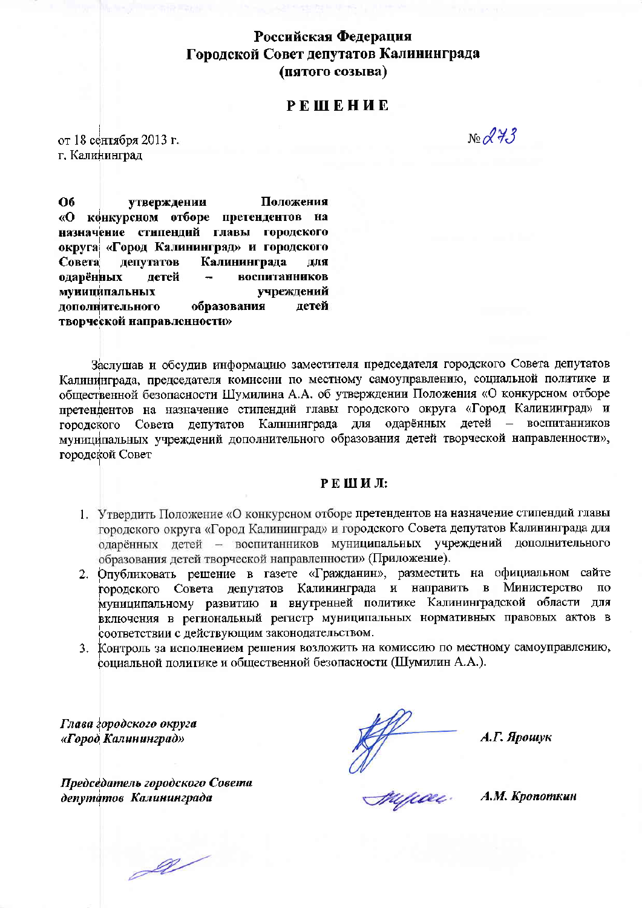# Российская Федерация Городской Совет депутатов Калининграда (пятого созыва)

# **РЕШЕНИЕ**

от 18 сентября 2013 г. г. Калининград

 $N_{2}$   $273$ 

Положения **O6** утверждении «О конкурсном отборе претендентов на назначение стипендий главы городского округа «Город Калининград» и городского Калининграда Совета депутатов для одарённых летей воспитанников учреждений муниципальных дополнительного образования детей творческой направленности»

Заслушав и обсудив информацию заместителя председателя городского Совета депутатов Калининграда, председателя комиссии по местному самоуправлению, социальной политике и общественной безопасности Шумилина А.А. об утверждении Положения «О конкурсном отборе претендентов на назначение стипендий главы городского округа «Город Калининград» и городского Совета депутатов Калининграда для одарённых детей - воспитанников муниципальных учреждений дополнительного образования детей творческой направленности», городской Совет

#### РЕШИЛ:

- 1. Утвердить Положение «О конкурсном отборе претендентов на назначение стипендий главы городского округа «Город Калининград» и городского Совета депутатов Калининграда для одарённых детей - воспитанников муниципальных учреждений дополнительного образования детей творческой направленности» (Приложение).
- 2. Опубликовать решение в газете «Гражданин», разместить на официальном сайте городского Совета депутатов Калининграда и направить в Министерство  $\pi$ o муниципальному развитию и внутренней политике Калининградской области для включения в региональный регистр муниципальных нормативных правовых актов в соответствии с действующим законодательством.
- 3. Контроль за исполнением решения возложить на комиссию по местному самоуправлению, социальной политике и общественной безопасности (Шумилин А.А.).

Глава городского округа «Город Калининград»

Председатель городского Совета депутатов Калининграда

Affinal

А.Г. Ярошук

А.М. Кропоткин

 $\mathscr{U}$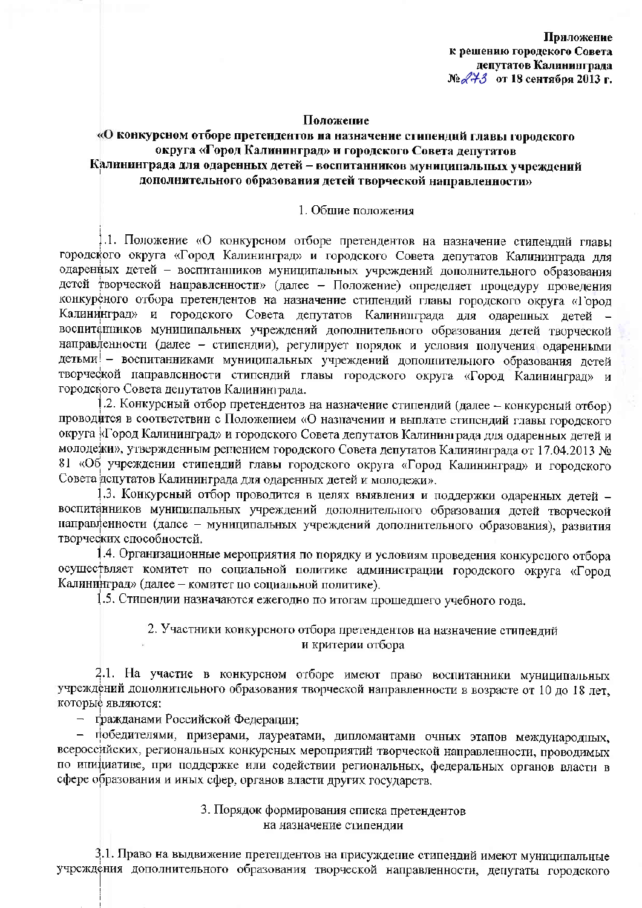Приложение к решению городского Совета депутатов Калининграда  $N$ е $\mathcal{A}$ +3 от 18 сентября 2013 г.

#### Положение

# «О конкурсном отборе претендентов на назначение стипендий главы городского округа «Город Калининград» и городского Совета депутатов Калининграда для одаренных детей – воспитанников муниципальных учреждений дополнительного образования детей творческой направленности»

#### 1. Общие положения

1.1. Положение «О конкурсном отборе претендентов на назначение стипендий главы городского округа «Город Калининград» и городского Совета депутатов Калининграда для одаренных детей - воспитанников муниципальных учреждений дополнительного образования дстей творческой направленности» (далее - Положение) определяет процедуру проведения конкурсного отбора претендентов на назначение стипендий главы городского округа «Город Калининград» и городского Совета депутатов Калинишграда для одаренных детей воспитанников муниципальных учреждений дополнительного образования детей творческой направленности (далее - стипендии), регулирует порядок и условия получения одаренными детьми - воспитанниками муниципальных учреждений дополнительного образования детей творческой направленности стипендий главы городского округа «Город Калининград» и городского Совета депутатов Калининграда.

.2. Конкурсный отбор претендентов на назначение стипендий (далее - конкурсный отбор) проводится в соответствии с Положением «О назначении и выплате стипендий главы городского округа «Город Калининград» и городского Совета депутатов Калининграда для одаренных детей и молодежи», утвержденным репением городского Совета депутатов Калининграда от 17.04.2013 № 81 «Об учреждении стипендий главы городского округа «Город Калининград» и городского Совета депутатов Калининграда для одаренных детей и молодежи».

1.3. Конкурсный отбор проводится в целях выявления и поддержки одаренных детей воспитанников муниципальных учреждений дополнительного образования детей творческой направленности (далсе - муниципальных учреждений дополнительного образования), развития творческих способностей.

1.4. Организационные мероприятия по порядку и условиям проведения конкурсного отбора осуществляет комитет по социальной политике администрации городского округа «Город Калининград» (далее - комитет по социальной политике).

1.5. Стипендии назначаются ежегодно по итогам прошедшего учебного года.

## 2. Участники конкурсного отбора претендентов на назначение стипендий и критерии отбора

2.1. На участие в конкурсном отборе имеют право воспитанники муниципальных учреждений дополнительного образования творческой направленности в возрасте от 10 до 18 лет, которые являются:

- гражданами Российской Федерации;

- победителями, призерами, лауреатами, дипломантами очных этапов международных, всероссийских, региональных конкурсных мероприятий творческой направленности, проводимых по инициативе, при поддержке или содействии региональных, федеральных органов власти в сфере образования и иных сфер, органов власти других государств.

## 3. Порядок формирования списка претендентов на назначение стипендии

3.1. Право на выдвижение претендентов на присуждение стипендий имеют муниципальные учреждения дополнительного образования творческой направленности, депутаты городского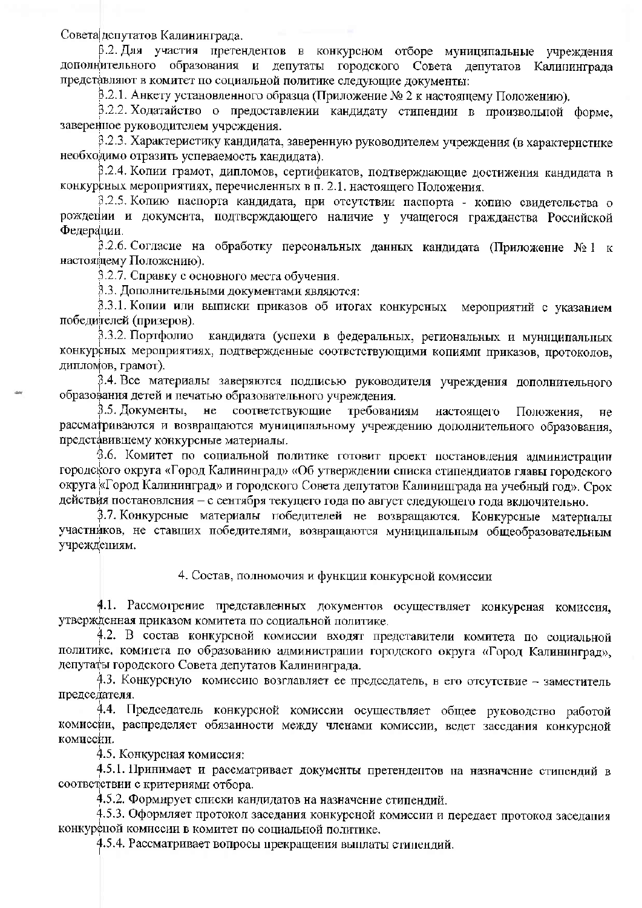Совета депутатов Калининграда.

В.2. Для участия претендентов в конкурсном отборе муниципальные учреждения дополнительного образования и депутаты городского Совета депутатов Калининграда представляют в комитет по социальной политике следующие документы:

В.2.1. Анкету установленного образца (Приложение № 2 к настоящему Положению).

3.2.2. Ходатайство о предоставлении кандидату стипендии в произвольной форме. заверенное руководителем учреждения.

3.2.3. Характеристику кандидата, заверенную руководителем учреждения (в характеристике необходимо отразить успеваемость канлилата).

3.2.4. Копии грамот, дипломов, сертификатов, подтверждающие достижения кандидата в конкурсных мероприятиях, перечисленных в п. 2.1, настоящего Положения.

3.2.5. Копию паспорта кандидата, при отсутствии паспорта - копию свидетсльства о рождении и документа, подтверждающего наличие у учащегося гражданства Российской Федерации.

3.2.6. Согласие на обработку персональных данных кандидата (Приложение  $N_2 1$  к настоящему Положению).

3.2.7. Справку с основного места обучения.

3.3. Дополнительными документами являются:

3.3.1. Копии или выписки приказов об итогах конкурсных мероприятий с указанием победителей (призеров).

3.3.2. Портфолио кандидата (успехи в федеральных, региональных и муниципальных конкурсных мероприятиях, подтвержденные соответствующими копиями приказов, протоколов, дипломов, грамот).

3.4. Все материалы заверяются подписью руководителя учреждения дополнительного образования детей и печатью образовательного учреждения.

3.5. Локументы. не соответствующие требованиям настоящего Положения. нe рассматриваются и возвращаются муниципальному учреждению дополнительного образования, представившему конкурсные материалы.

3.6. Комитет по социальной политике готовит проект постановления администрации городского округа «Город Калининград» «Об утверждении списка стипендиатов главы городского округа «Город Калининград» и городского Совета депутатов Калининграда на учебный год». Срок действия постановления - с сентября текущего года по август следующего года включительно.

3.7. Конкурсные материалы победителей не возвращаются. Конкурсные материалы участников, не ставших победителями, возвращаются муниципальным общеобразовательным учреждениям.

4. Состав, полномочия и функции конкурсной комиссии

4.1. Рассмотрение представленных документов осуществляет конкурсная комиссия, утвержденная приказом комитета по социальной политике.

4.2. В состав конкурсной комиссии входят представители комитета по социальной политике, комитета по образованию администрации городского округа «Город Калининград», депутаты городского Совета депутатов Калининграда.

4.3. Конкурсную комиссию возглавляет ее председатель, в его отсутствие - заместитель председателя.

4.4. Председатель конкурсной комиссии осуществляет общее руководство работой комиссии, распределяет обязанности между членами комиссии, ведет заседания конкурсной комиссии.

4.5. Конкурсная комиссия:

4.5.1. Принимает и рассматривает документы претендентов на назначение стипендий в соответствии с критериями отбора.

4.5.2. Формирует списки кандидатов на назначение стипендий.

4.5.3. Оформляет протокол заседания конкурсной комиссии и передает протокол заседания конкуреной комиссии в комитет по социальной политике.

4.5.4. Рассматривает вопросы прекращения выплаты стипендий.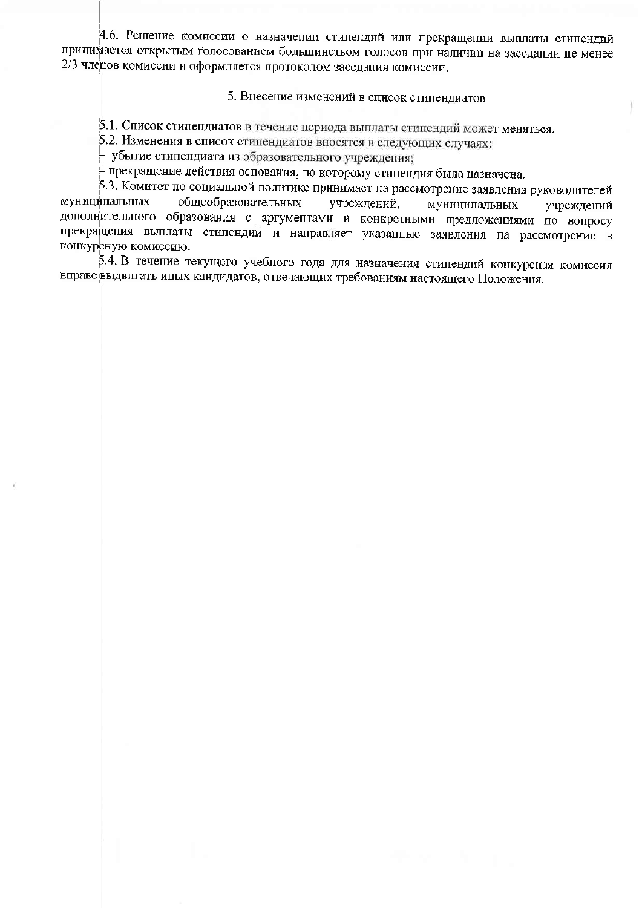4.6. Решение комиссии о назначении стипендий или прекращении выплаты стипендий принимается открытым голосованием большинством голосов при наличии на заседании не менее 2/3 членов комиссии и оформляется протоколом заседания комиссии.

### 5. Внесение изменений в список стипендиатов

5.1. Список стипендиатов в течение периода выплаты стипендий может меняться.

5.2. Изменения в список стипендиатов вносятся в следующих случаях:

- убытие стипендиата из образовательного учреждения,

прекращение действия основания, по которому стипендия была назначена.

5.3. Комитет по социальной политике принимает на рассмотрение заявления руководителей муниципальных общеобразовательных учреждений. муниципальных учреждений дополнительного образования с аргументами и конкретными предложениями по вопросу прекращения выплаты стипендий и направляет указанные заявления на рассмотрение в конкурсную комиссию.

5.4. В течение текущего учебного года для назначения стипендий конкурсная комиссия вправе выдвигать иных кандидатов, отвечающих требованиям настоящего Положения.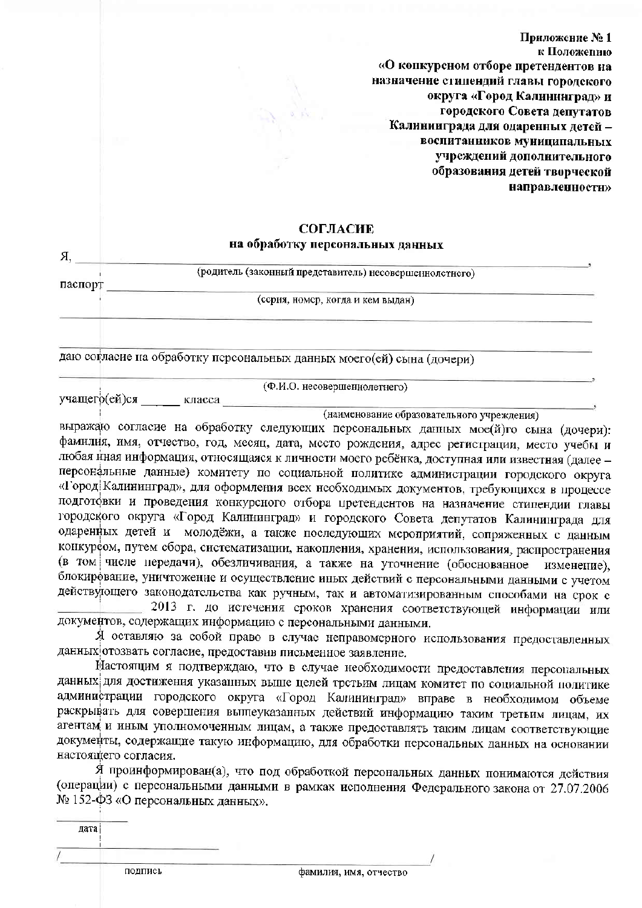Приложение №1 к Положению «О конкурсном отборе претендентов на назначение стипендий главы горолекого округа «Город Калининград» и городского Совета лепутатов Калининграда для одаренных летей воспитанников муниципальных учреждений дополнительного образования детей творческой направленности»

# **СОГЛАСИЕ**

# на обработку персональных данных

| Я       |                                                                       |  |
|---------|-----------------------------------------------------------------------|--|
|         | (родитель (законный представитель) несовершеннолетного)               |  |
| паспорт |                                                                       |  |
|         | (серия, номер, когда и кем выдан)                                     |  |
|         |                                                                       |  |
|         |                                                                       |  |
|         |                                                                       |  |
|         | даю согласие на обработку переональных данных моего(ей) сына (дочери) |  |

(Ф.И.О. несовершеннолетнего)

учащего(ей)ся класса

(наименование образовательного учреждения)

выражаю согласие на обработку следующих персональных данных мое(й)го сына (дочери): фамилия, имя, отчество, год, месяц, дата, место рождения, адрес регистрации, место учебы и любая иная информация, относящаяся к личности моего ребёнка, доступная или известная (далее персональные данные) комитету по социальной политике администрации городского округа «Город Калининград», для оформления всех необходимых документов, требующихся в процессе подготовки и проведения конкурсного отбора претендентов на назначение стипендии главы городского округа «Город Калининград» и городского Совета депутатов Калининграда для одаренных детей и молодёжи, а также последующих мероприятий, сопряженных с данным конкурсом, путем сбора, систематизации, накопления, хранения, использования, распространения (в том числе передачи), обезличивания, а также на уточнение (обоснованное изменение), блокирование, уничтожение и осуществление иных действий с персональными данными с учетом действующего законодательства как ручным, так и автоматизированным способами на срок с

2013 г. до истечения сроков хранения соответствующей информации или документов, содержащих информацию с персональными данными.

Я оставляю за собой право в случае неправомерного использования предоставленных данных отозвать согласие, предоставив письменное заявление.

Настоящим я подтверждаю, что в случае необходимости предоставления персональных данных для достижения указанных выше целей трстьим лицам комитет по социальной политике администрации городского округа «Город Калининград» вправе в необходимом объеме раскрывать для совершения выпеуказанных действий информацию таким третьим лицам, их агентам и иным уполномоченным лицам, а также предоставлять таким лицам соответствующие документы, содержащие такую информацию, для обработки персональных данных на основании настоящего согласия.

Я проинформирован(а), что под обработкой персональных данных понимаются действия (операции) с персональными данными в рамках исполнения Федерального закона от 27.07.2006 № 152-ФЗ «О персональных данных».

лата